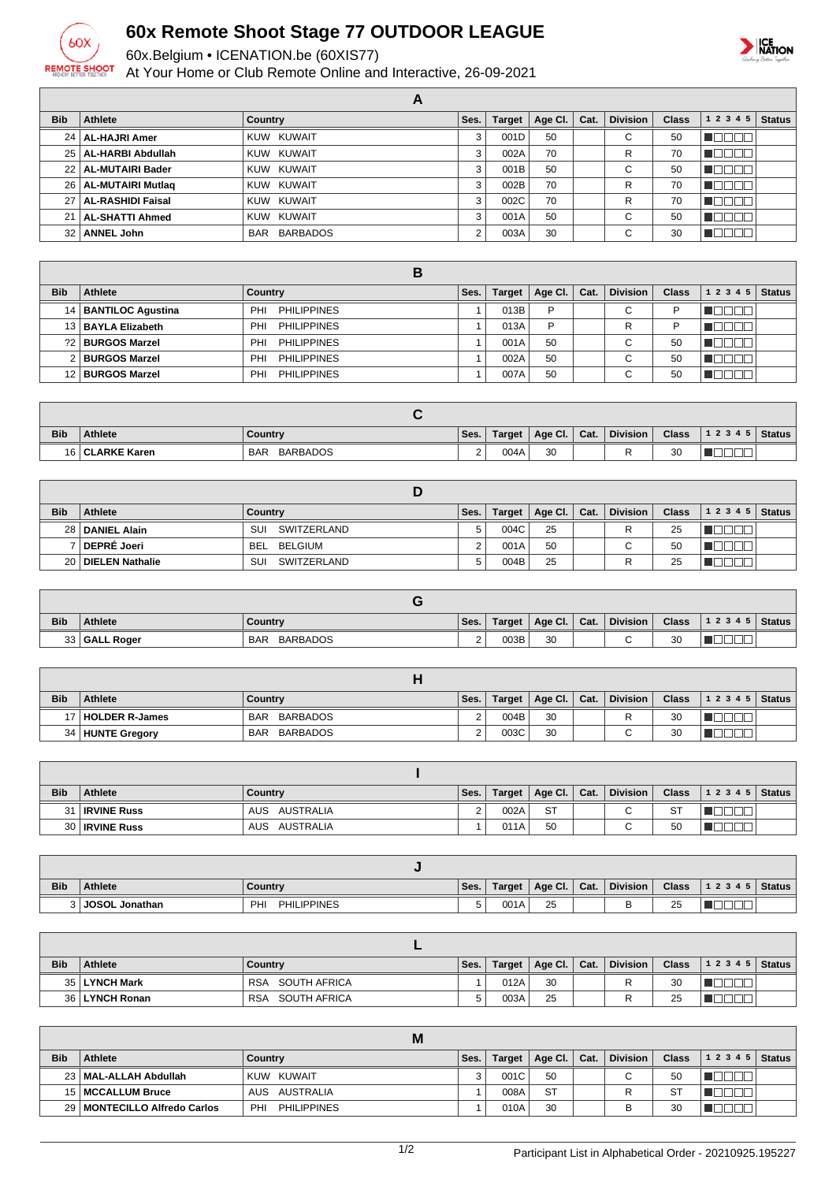

## **60x Remote Shoot Stage 77 OUTDOOR LEAGUE**

60x.Belgium • ICENATION.be (60XIS77)

At Your Home or Club Remote Online and Interactive, 26-09-2021



|                 |                          | A            |      |        |         |      |                 |              |           |               |
|-----------------|--------------------------|--------------|------|--------|---------|------|-----------------|--------------|-----------|---------------|
| <b>Bib</b>      | Athlete                  | Country      | Ses. | Target | Age CI. | Cat. | <b>Division</b> | <b>Class</b> | 1 2 3 4 5 | <b>Status</b> |
|                 | 24   AL-HAJRI Amer       | KUW KUWAIT   | 3    | 001D   | 50      |      | $\sim$<br>U     | 50           |           |               |
|                 | 25   AL-HARBI Abdullah   | KUW KUWAIT   | 3    | 002A   | 70      |      | R               | 70           |           |               |
|                 | 22   AL-MUTAIRI Bader    | KUW KUWAIT   | 3    | 001B   | 50      |      | С               | 50           |           |               |
|                 | 26   AL-MUTAIRI Mutlag   | KUW KUWAIT   | 3    | 002B   | 70      |      | R               | 70           |           |               |
| 27 <sub>1</sub> | <b>AL-RASHIDI Faisal</b> | KUW KUWAIT   | 3    | 002C   | 70      |      | R               | 70           | ┐г        |               |
| 21 <sup>1</sup> | <b>AL-SHATTI Ahmed</b>   | KUW KUWAIT   | 3    | 001A   | 50      |      | С               | 50           |           |               |
| 32 <sub>1</sub> | <b>ANNEL John</b>        | BAR BARBADOS | 2    | 003A   | 30      |      | $\sim$<br>U     | 30           |           |               |

|            |                        | в                                |      |               |             |      |                 |              |              |               |
|------------|------------------------|----------------------------------|------|---------------|-------------|------|-----------------|--------------|--------------|---------------|
| <b>Bib</b> | Athlete                | Country                          | Ses. | <b>Target</b> | Age Cl. $ $ | Cat. | <b>Division</b> | <b>Class</b> | 1 2 3 4 5    | <b>Status</b> |
|            | 14   BANTILOC Agustina | <b>PHILIPPINES</b><br>PHI        |      | 013B          | P           |      | С               |              |              |               |
|            | 13 BAYLA Elizabeth     | <b>PHILIPPINES</b><br>PHI        |      | 013A          | P           |      | R               | D            |              |               |
|            | ?2 BURGOS Marzel       | <b>PHILIPPINES</b><br>PHI        |      | 001A          | 50          |      | С               | 50           |              |               |
|            | 2 BURGOS Marzel        | <b>PHILIPPINES</b><br>PHI        |      | 002A          | 50          |      | $\sim$<br>U     | 50           | $\mathbf{H}$ |               |
|            | 12   BURGOS Marzel     | <b>PHILIPPINES</b><br><b>PHI</b> |      | 007A          | 50          |      | ⌒<br>◡          | 50           |              |               |

| <b>Bib</b> | <b>Athlete</b>    | Country                       | Ses.               | Target | Age Cl. | Cat. | <b>Division</b> | <b>Class</b> | 12345 | Status |
|------------|-------------------|-------------------------------|--------------------|--------|---------|------|-----------------|--------------|-------|--------|
|            | 16   CLARKE Karen | <b>BARBADOS</b><br><b>BAR</b> | $\sim$<br><u>.</u> | 004A   | 30      |      | D               | 30           |       |        |

| <b>Bib</b> | <b>Athlete</b>       | Country               | Ses. | Target | Age Cl.   Cat. | <b>Division</b> | <b>Class</b> | $1\ 2\ 3\ 4\ 5$   Status |  |
|------------|----------------------|-----------------------|------|--------|----------------|-----------------|--------------|--------------------------|--|
|            | 28   DANIEL Alain    | SUI<br>SWITZERLAND    |      | 004C   | 25             |                 | 25           |                          |  |
|            | DEPRÉ Joeri          | BELGIUM<br><b>BEL</b> |      | 001A   | 50             | $\sim$          | 50           |                          |  |
|            | 20   DIELEN Nathalie | SUI<br>SWITZERLAND    |      | 004B   | 25             |                 | 25           |                          |  |

| <b>Bib</b> | <b>Athlete</b>  | Country                       | Ses.     | Target | $\Delta$ ge Cl. | Cat. | <b>Division</b> | <b>Class</b> | 1 2 3 4 5   Status |  |
|------------|-----------------|-------------------------------|----------|--------|-----------------|------|-----------------|--------------|--------------------|--|
|            | 33   GALL Roger | <b>BARBADOS</b><br><b>BAR</b> | <u>.</u> | 003B   | 30              |      | $\sim$          | 30           | _<br>_             |  |

| <b>Bib</b> | <b>Athlete</b>      | Country                | Ses. | Target | Age Cl.   Cat. | <b>Division</b> | <b>Class</b> | 12345 | Status I |
|------------|---------------------|------------------------|------|--------|----------------|-----------------|--------------|-------|----------|
|            | 17   HOLDER R-James | BARBADOS<br><b>BAR</b> |      | 004B   | 30             |                 | 30           |       |          |
|            | 34 HUNTE Gregory    | BARBADOS<br><b>BAR</b> | ▃    | 003C   | 30             |                 | 30           | _     |          |

| <b>Bib</b> | Athlete               | Country          | Ses. | Target | $ $ Age Cl. $ $ Cat. | <b>Division</b> | <b>Class</b>  | $12345$ Status |  |
|------------|-----------------------|------------------|------|--------|----------------------|-----------------|---------------|----------------|--|
|            | 31 <b>IRVINE Russ</b> | AUS AUSTRALIA    |      | 002A   | <b>ST</b>            | $\sim$<br>◡     | $\sim$<br>ا ت |                |  |
|            | 30   IRVINE Russ      | AUSTRALIA<br>AUS |      | 011A   | 50                   | $\sim$          | 50            |                |  |

| <b>Bib</b> | <b>Athlete</b> | Country                  | Ses. | Target | Age Cl.  | Cat. | <b>Division</b> | <b>Class</b>    | 1 2 3 4 5 | <b>Status</b> |
|------------|----------------|--------------------------|------|--------|----------|------|-----------------|-----------------|-----------|---------------|
| $\sim$     | JOSOL Jonathan | <b>PHILIPPINES</b><br>PH | J    | 001A   | 25<br>__ |      |                 | <b>OF</b><br>ںے |           |               |

| <b>Bib</b> | Athlete         | Country                    | Ses. | Target | Age Cl. Cat. | <b>Division</b> | <b>Class</b> | $ 12345 $ Status |  |
|------------|-----------------|----------------------------|------|--------|--------------|-----------------|--------------|------------------|--|
|            | 35   LYNCH Mark | SOUTH AFRICA<br><b>RSA</b> |      | 012A   | 30           | ∽               | 30           |                  |  |
|            | 36 LYNCH Ronan  | SOUTH AFRICA<br><b>RSA</b> |      | 003A   | 25           |                 | 25           |                  |  |

|            |                                | M                  |      |        |                |                 |              |                  |  |
|------------|--------------------------------|--------------------|------|--------|----------------|-----------------|--------------|------------------|--|
| <b>Bib</b> | <b>Athlete</b>                 | Country            | Ses. | Target | Age Cl.   Cat. | <b>Division</b> | <b>Class</b> | $12345$ Status 1 |  |
|            | 23   MAL-ALLAH Abdullah        | KUW KUWAIT         |      | 001C   | 50             | ⌒               | 50           |                  |  |
|            | 15   MCCALLUM Bruce            | AUS AUSTRALIA      |      | 008A   | <b>ST</b>      |                 | <b>ST</b>    |                  |  |
|            | 29   MONTECILLO Alfredo Carlos | PHILIPPINES<br>PHI |      | 010A   | 30             |                 | 30           |                  |  |